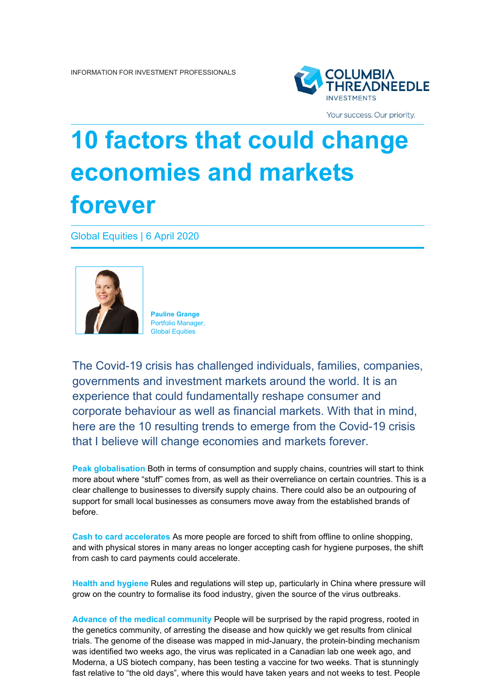

Your success. Our priority.

## **10 factors that could change economies and markets forever**

Global Equities | 6 April 2020



**Pauline Grange** Portfolio Manager, Global Equities

The Covid-19 crisis has challenged individuals, families, companies, governments and investment markets around the world. It is an experience that could fundamentally reshape consumer and corporate behaviour as well as financial markets. With that in mind, here are the 10 resulting trends to emerge from the Covid-19 crisis that I believe will change economies and markets forever.

**Peak globalisation** Both in terms of consumption and supply chains, countries will start to think more about where "stuff" comes from, as well as their overreliance on certain countries. This is a clear challenge to businesses to diversify supply chains. There could also be an outpouring of support for small local businesses as consumers move away from the established brands of before.

**Cash to card accelerates** As more people are forced to shift from offline to online shopping, and with physical stores in many areas no longer accepting cash for hygiene purposes, the shift from cash to card payments could accelerate.

**Health and hygiene** Rules and regulations will step up, particularly in China where pressure will grow on the country to formalise its food industry, given the source of the virus outbreaks.

**Advance of the medical community** People will be surprised by the rapid progress, rooted in the genetics community, of arresting the disease and how quickly we get results from clinical trials. The genome of the disease was mapped in mid-January, the protein-binding mechanism was identified two weeks ago, the virus was replicated in a Canadian lab one week ago, and Moderna, a US biotech company, has been testing a vaccine for two weeks. That is stunningly fast relative to "the old days", where this would have taken years and not weeks to test. People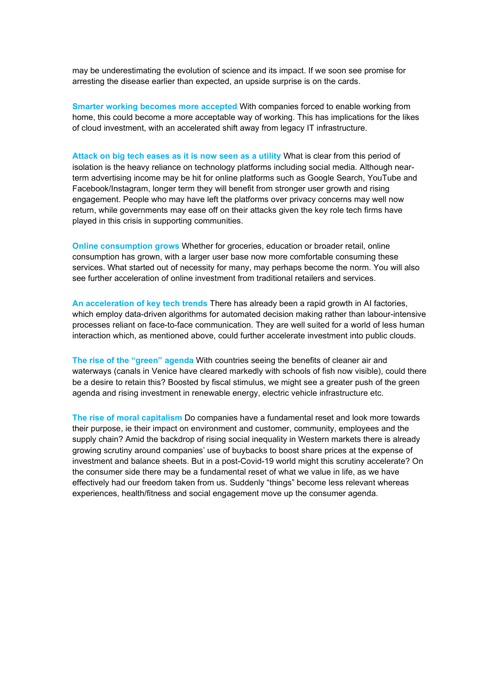may be underestimating the evolution of science and its impact. If we soon see promise for arresting the disease earlier than expected, an upside surprise is on the cards.

**Smarter working becomes more accepted** With companies forced to enable working from home, this could become a more acceptable way of working. This has implications for the likes of cloud investment, with an accelerated shift away from legacy IT infrastructure.

**Attack on big tech eases as it is now seen as a utility** What is clear from this period of isolation is the heavy reliance on technology platforms including social media. Although nearterm advertising income may be hit for online platforms such as Google Search, YouTube and Facebook/Instagram, longer term they will benefit from stronger user growth and rising engagement. People who may have left the platforms over privacy concerns may well now return, while governments may ease off on their attacks given the key role tech firms have played in this crisis in supporting communities.

**Online consumption grows** Whether for groceries, education or broader retail, online consumption has grown, with a larger user base now more comfortable consuming these services. What started out of necessity for many, may perhaps become the norm. You will also see further acceleration of online investment from traditional retailers and services.

**An acceleration of key tech trends** There has already been a rapid growth in AI factories, which employ data-driven algorithms for automated decision making rather than labour-intensive processes reliant on face-to-face communication. They are well suited for a world of less human interaction which, as mentioned above, could further accelerate investment into public clouds.

**The rise of the "green" agenda** With countries seeing the benefits of cleaner air and waterways (canals in Venice have cleared markedly with schools of fish now visible), could there be a desire to retain this? Boosted by fiscal stimulus, we might see a greater push of the green agenda and rising investment in renewable energy, electric vehicle infrastructure etc.

**The rise of moral capitalism** Do companies have a fundamental reset and look more towards their purpose, ie their impact on environment and customer, community, employees and the supply chain? Amid the backdrop of rising social inequality in Western markets there is already growing scrutiny around companies' use of buybacks to boost share prices at the expense of investment and balance sheets. But in a post-Covid-19 world might this scrutiny accelerate? On the consumer side there may be a fundamental reset of what we value in life, as we have effectively had our freedom taken from us. Suddenly "things" become less relevant whereas experiences, health/fitness and social engagement move up the consumer agenda.